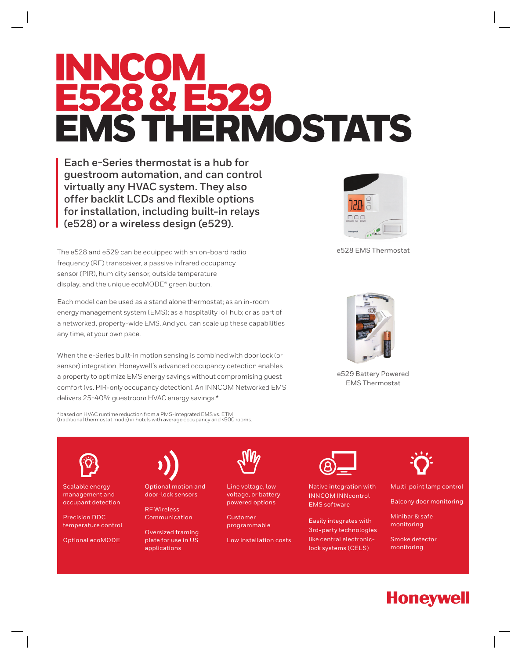# INNCOM E528 & E529 EMS THERMOSTATS

**Each e-Series thermostat is a hub for guestroom automation, and can control virtually any HVAC system. They also offer backlit LCDs and flexible options for installation, including built-in relays (e528) or a wireless design (e529).** 

The e528 and e529 can be equipped with an on-board radio frequency (RF) transceiver, a passive infrared occupancy sensor (PIR), humidity sensor, outside temperature display, and the unique ecoMODE® green button.

Each model can be used as a stand alone thermostat; as an in-room energy management system (EMS); as a hospitality IoT hub; or as part of a networked, property-wide EMS. And you can scale up these capabilities any time, at your own pace.

When the e-Series built-in motion sensing is combined with door lock (or sensor) integration, Honeywell's advanced occupancy detection enables a property to optimize EMS energy savings without compromising guest comfort (vs. PIR-only occupancy detection). An INNCOM Networked EMS delivers 25-40% guestroom HVAC energy savings.\*

\* based on HVAC runtime reduction from a PMS-integrated EMS vs. ETM (traditional thermostat mode) in hotels with average occupancy and <500 rooms.



e528 EMS Thermostat



e529 Battery Powered EMS Thermostat

Scalable energy management and occupant detection

Precision DDC temperature control

Optional ecoMODE



Optional motion and door-lock sensors

RF Wireless Communication

Oversized framing plate for use in US applications



Line voltage, low voltage, or battery powered options

Customer programmable

Low installation costs



Native integration with INNCOM INNcontrol EMS software

Easily integrates with 3rd-party technologies like central electroniclock systems (CELS)



Multi-point lamp control

Balcony door monitoring

Minibar & safe monitoring

Smoke detector monitoring